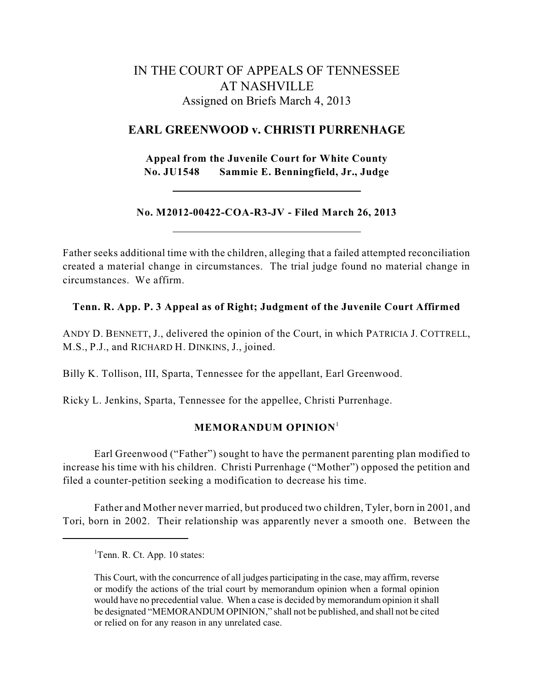# IN THE COURT OF APPEALS OF TENNESSEE AT NASHVILLE Assigned on Briefs March 4, 2013

# **EARL GREENWOOD v. CHRISTI PURRENHAGE**

**Appeal from the Juvenile Court for White County No. JU1548 Sammie E. Benningfield, Jr., Judge**

## **No. M2012-00422-COA-R3-JV - Filed March 26, 2013**

Father seeks additional time with the children, alleging that a failed attempted reconciliation created a material change in circumstances. The trial judge found no material change in circumstances. We affirm.

## **Tenn. R. App. P. 3 Appeal as of Right; Judgment of the Juvenile Court Affirmed**

ANDY D. BENNETT, J., delivered the opinion of the Court, in which PATRICIA J. COTTRELL, M.S., P.J., and RICHARD H. DINKINS, J., joined.

Billy K. Tollison, III, Sparta, Tennessee for the appellant, Earl Greenwood.

Ricky L. Jenkins, Sparta, Tennessee for the appellee, Christi Purrenhage.

## **MEMORANDUM OPINION** 1

Earl Greenwood ("Father") sought to have the permanent parenting plan modified to increase his time with his children. Christi Purrenhage ("Mother") opposed the petition and filed a counter-petition seeking a modification to decrease his time.

Father and Mother never married, but produced two children, Tyler, born in 2001, and Tori, born in 2002. Their relationship was apparently never a smooth one. Between the

<sup>&</sup>lt;sup>1</sup>Tenn. R. Ct. App. 10 states:

This Court, with the concurrence of all judges participating in the case, may affirm, reverse or modify the actions of the trial court by memorandum opinion when a formal opinion would have no precedential value. When a case is decided by memorandum opinion it shall be designated "MEMORANDUM OPINION," shall not be published, and shall not be cited or relied on for any reason in any unrelated case.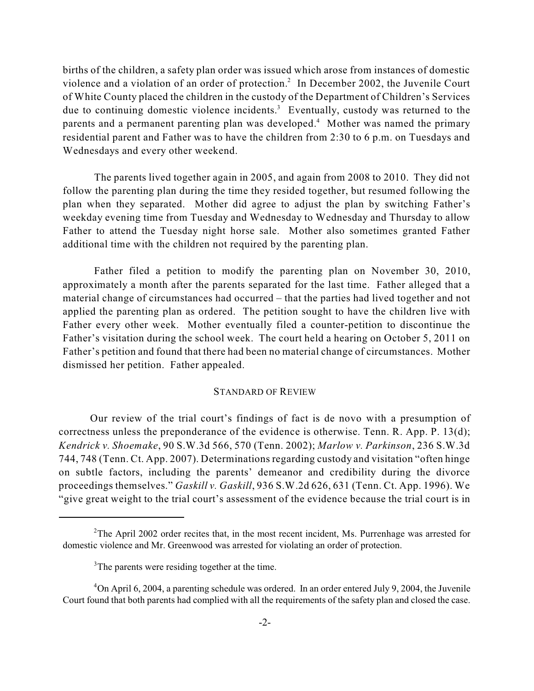births of the children, a safety plan order was issued which arose from instances of domestic violence and a violation of an order of protection.<sup>2</sup> In December 2002, the Juvenile Court of White County placed the children in the custody of the Department of Children's Services due to continuing domestic violence incidents.<sup>3</sup> Eventually, custody was returned to the parents and a permanent parenting plan was developed.<sup>4</sup> Mother was named the primary residential parent and Father was to have the children from 2:30 to 6 p.m. on Tuesdays and Wednesdays and every other weekend.

The parents lived together again in 2005, and again from 2008 to 2010. They did not follow the parenting plan during the time they resided together, but resumed following the plan when they separated. Mother did agree to adjust the plan by switching Father's weekday evening time from Tuesday and Wednesday to Wednesday and Thursday to allow Father to attend the Tuesday night horse sale. Mother also sometimes granted Father additional time with the children not required by the parenting plan.

Father filed a petition to modify the parenting plan on November 30, 2010, approximately a month after the parents separated for the last time. Father alleged that a material change of circumstances had occurred – that the parties had lived together and not applied the parenting plan as ordered. The petition sought to have the children live with Father every other week. Mother eventually filed a counter-petition to discontinue the Father's visitation during the school week. The court held a hearing on October 5, 2011 on Father's petition and found that there had been no material change of circumstances. Mother dismissed her petition. Father appealed.

#### STANDARD OF REVIEW

Our review of the trial court's findings of fact is de novo with a presumption of correctness unless the preponderance of the evidence is otherwise. Tenn. R. App. P. 13(d); *Kendrick v. Shoemake*, 90 S.W.3d 566, 570 (Tenn. 2002); *Marlow v. Parkinson*, 236 S.W.3d 744, 748 (Tenn. Ct. App. 2007). Determinations regarding custody and visitation "often hinge on subtle factors, including the parents' demeanor and credibility during the divorce proceedings themselves." *Gaskill v. Gaskill*, 936 S.W.2d 626, 631 (Tenn. Ct. App. 1996). We "give great weight to the trial court's assessment of the evidence because the trial court is in

 $2$ The April 2002 order recites that, in the most recent incident, Ms. Purrenhage was arrested for domestic violence and Mr. Greenwood was arrested for violating an order of protection.

 $3$ The parents were residing together at the time.

 $4$ On April 6, 2004, a parenting schedule was ordered. In an order entered July 9, 2004, the Juvenile Court found that both parents had complied with all the requirements of the safety plan and closed the case.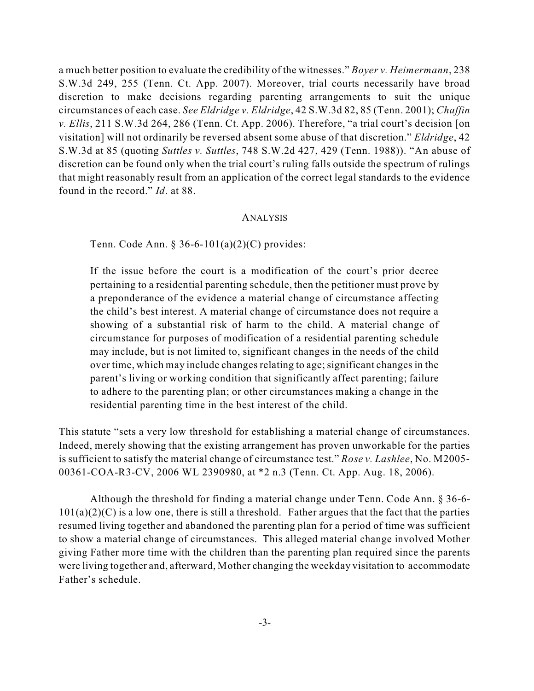a much better position to evaluate the credibility of the witnesses." *Boyer v. Heimermann*, 238 S.W.3d 249, 255 (Tenn. Ct. App. 2007). Moreover, trial courts necessarily have broad discretion to make decisions regarding parenting arrangements to suit the unique circumstances of each case. *See Eldridge v. Eldridge*, 42 S.W.3d 82, 85 (Tenn. 2001); *Chaffin v. Ellis*, 211 S.W.3d 264, 286 (Tenn. Ct. App. 2006). Therefore, "a trial court's decision [on visitation] will not ordinarily be reversed absent some abuse of that discretion." *Eldridge*, 42 S.W.3d at 85 (quoting *Suttles v. Suttles*, 748 S.W.2d 427, 429 (Tenn. 1988)). "An abuse of discretion can be found only when the trial court's ruling falls outside the spectrum of rulings that might reasonably result from an application of the correct legal standards to the evidence found in the record." *Id*. at 88.

#### ANALYSIS

Tenn. Code Ann. § 36-6-101(a)(2)(C) provides:

If the issue before the court is a modification of the court's prior decree pertaining to a residential parenting schedule, then the petitioner must prove by a preponderance of the evidence a material change of circumstance affecting the child's best interest. A material change of circumstance does not require a showing of a substantial risk of harm to the child. A material change of circumstance for purposes of modification of a residential parenting schedule may include, but is not limited to, significant changes in the needs of the child over time, which may include changes relating to age; significant changes in the parent's living or working condition that significantly affect parenting; failure to adhere to the parenting plan; or other circumstances making a change in the residential parenting time in the best interest of the child.

This statute "sets a very low threshold for establishing a material change of circumstances. Indeed, merely showing that the existing arrangement has proven unworkable for the parties is sufficient to satisfy the material change of circumstance test." *Rose v. Lashlee*, No. M2005- 00361-COA-R3-CV, 2006 WL 2390980, at \*2 n.3 (Tenn. Ct. App. Aug. 18, 2006).

Although the threshold for finding a material change under Tenn. Code Ann. § 36-6-  $101(a)(2)(C)$  is a low one, there is still a threshold. Father argues that the fact that the parties resumed living together and abandoned the parenting plan for a period of time was sufficient to show a material change of circumstances. This alleged material change involved Mother giving Father more time with the children than the parenting plan required since the parents were living together and, afterward, Mother changing the weekday visitation to accommodate Father's schedule.